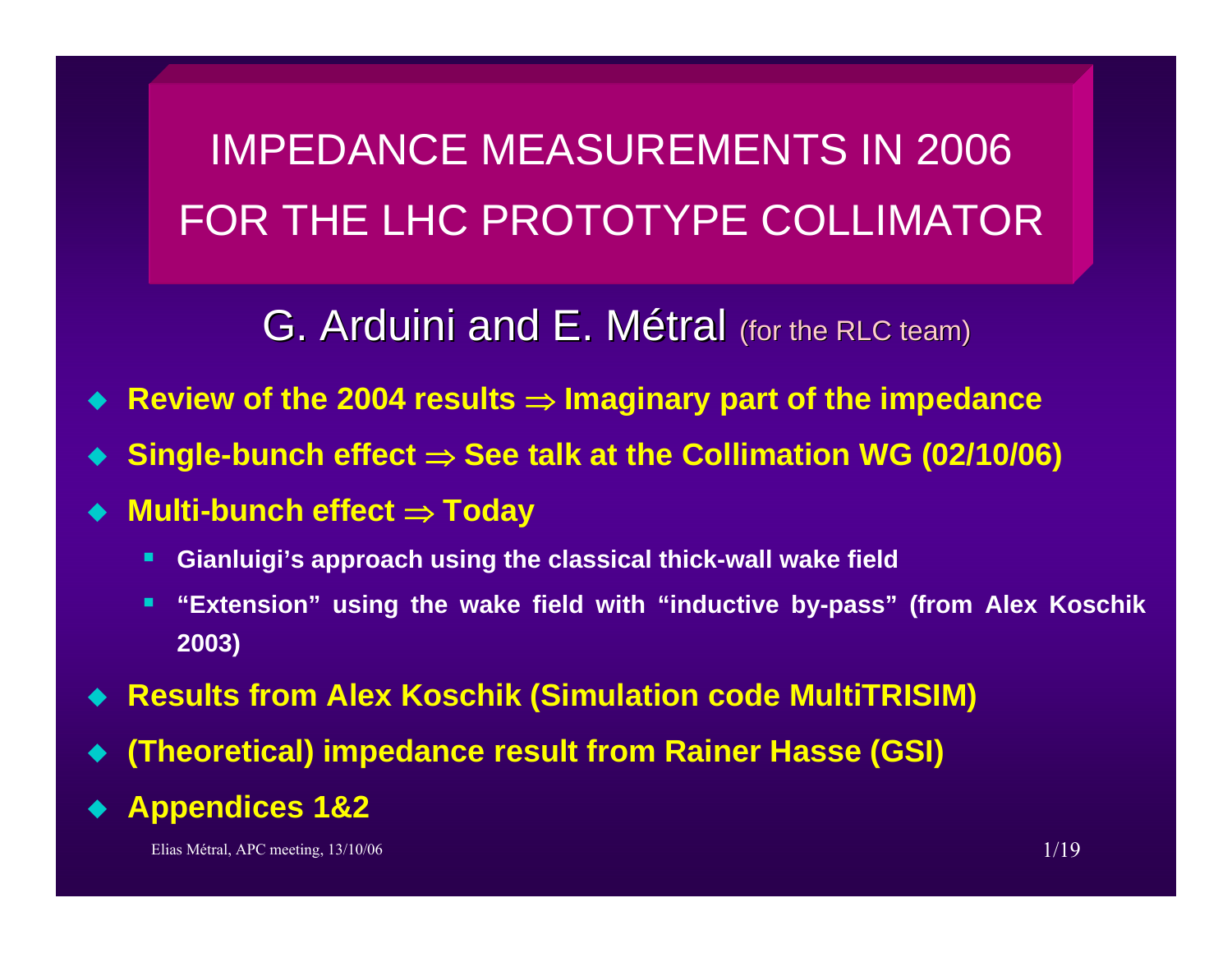IMPEDANCE MEASUREMENTS IN 2006FOR THE LHC PROTOTYPE COLLIMATOR

# G. Arduini and E. Métral (for the RLC team)

- ♦ **Review of the 2004 results** <sup>⇒</sup> **Imaginary part of the impedance**
- ♦ **Single-bunch effect** <sup>⇒</sup> **See talk at the Collimation WG (02/10/06)**
- ♦ **Multi-bunch effect** <sup>⇒</sup> **Today**
	- п **Gianluigi's approach using the classical thick-wall wake field**
	- $\blacksquare$  **"Extension" using the wake field with "inductive by-pass" (from Alex Koschik 2003)**
- ♦ **Results from Alex Koschik (Simulation code MultiTRISIM)**
- ♦ **(Theoretical) impedance result from Rainer Hasse (GSI)**
- ♦ **Appendices 1&2**

Elias Métral, APC meeting, 13/10/06 1/19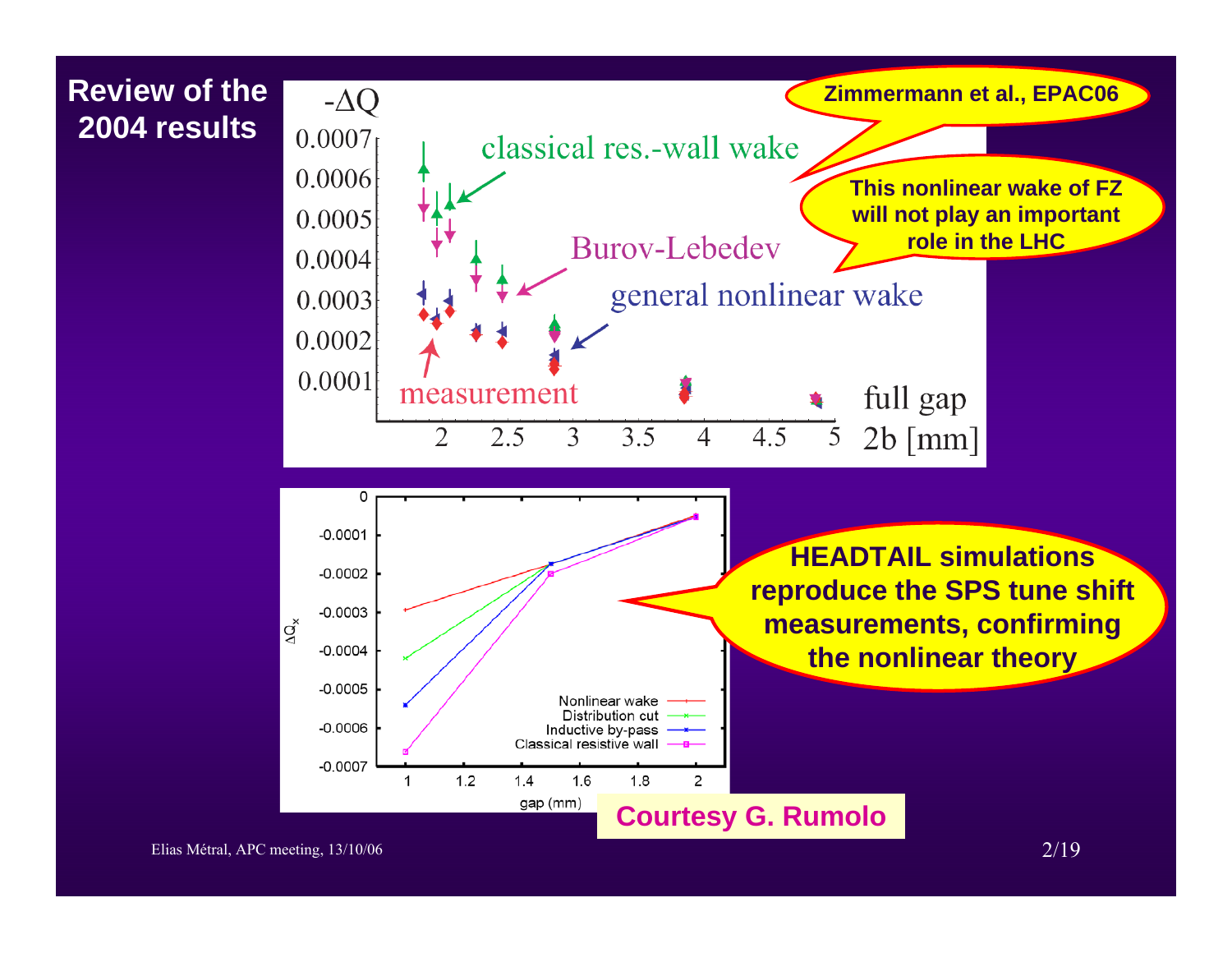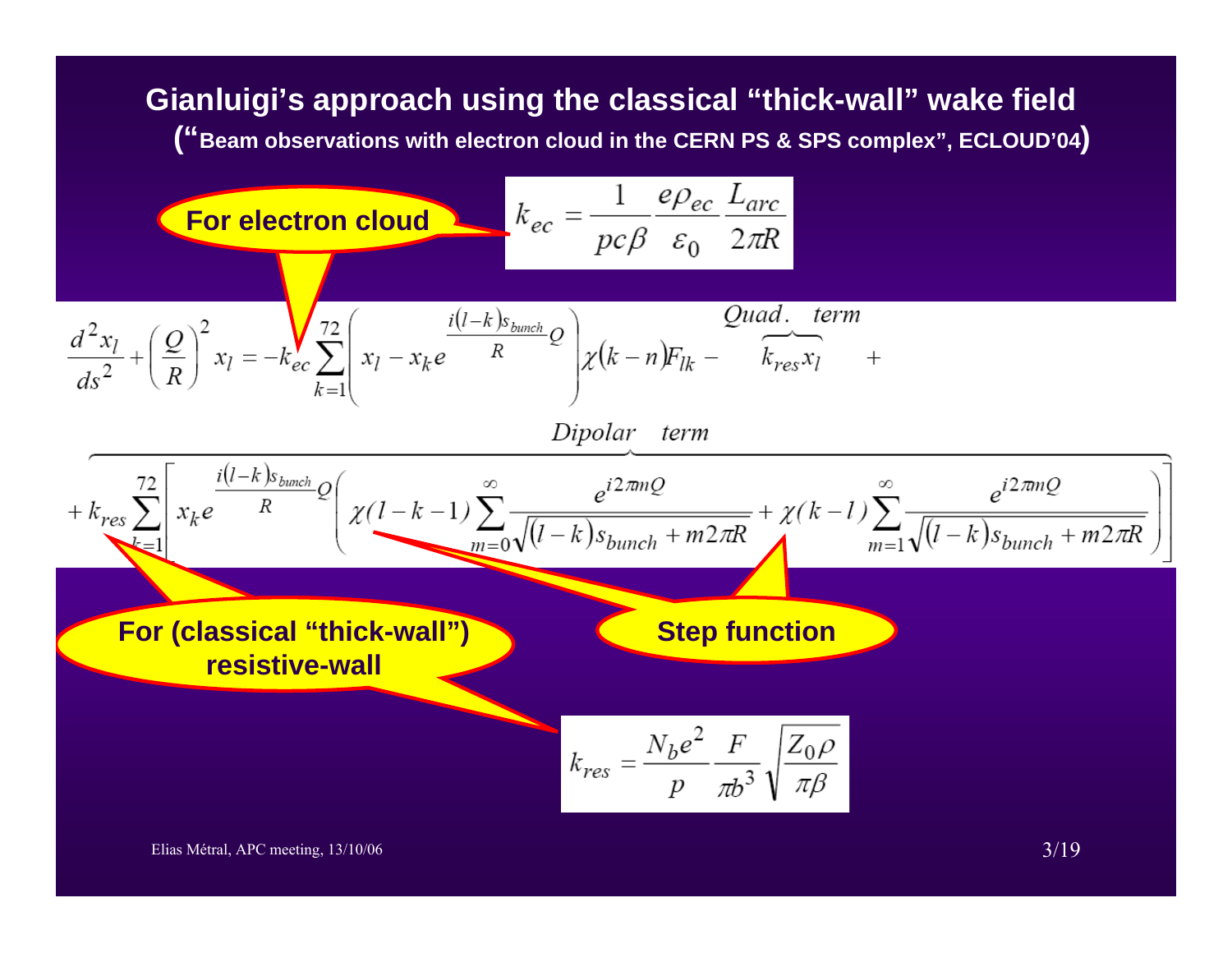**Gianluigi's approach using the classical "thick-wall" wake field ("Beam observations with electron cloud in the CERN PS & SPS complex", ECLOUD'04)**

For electron cloud  
\n
$$
k_{ec} = \frac{1}{pc\beta} \frac{e\rho_{ec}}{\varepsilon_0} \frac{L_{arc}}{2\pi R}
$$
\n
$$
\frac{d^2x_l}{ds^2} + \left(\frac{Q}{R}\right)^2 x_l = -k_{ec} \sum_{k=1}^{r/2} \left(x_l - x_k e^{-\frac{l(l-k)s_{b_{\text{nonch}}}}{R}}\right) \chi(k-n)F_{lk} - \frac{Quad. \text{ term}}{k_{res}x_l} + \frac{Dipolar \text{ term}}{k_{res}x_l} + \frac{2L}{m} \left[x_k e^{-\frac{l(l-k)s_{b_{\text{nonch}}}}{R}}\right] \chi(l-k-1) \sum_{m=0}^{\infty} \frac{e^{i2\pi mQ}}{\sqrt{l-k} s_{b_{\text{unch}}} + m2\pi R} + \chi(k-l) \sum_{m=1}^{\infty} \frac{e^{i2\pi mQ}}{\sqrt{l-k} s_{b_{\text{unch}}} + m2\pi R} \right)
$$
\nFor (classical "thick-wall")  
\n
$$
k_{res} = \frac{N_b e^2}{p} \frac{F}{\pi b^3} \sqrt{\frac{Z_0 \rho}{\pi \beta}}
$$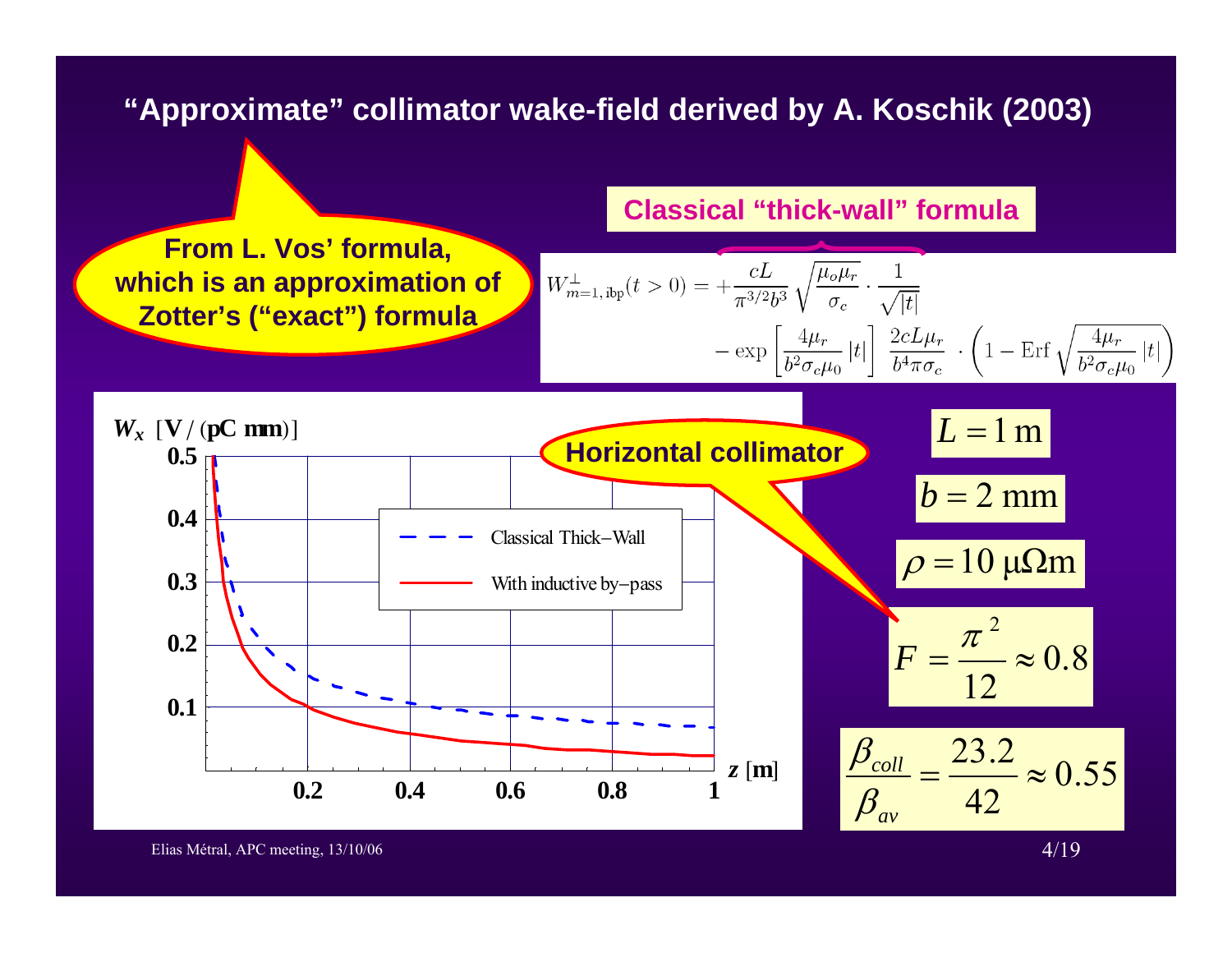### **"Approximate" collimator wake-field derived by A. Koschik (2003)**

**From L. Vos' formula, which is an approximation of Zotter's ("exact") formula**

#### **Classical "thick-wall" formula**

$$
W_{m=1,\text{ibp}}^{\perp}(t>0) = +\frac{cL}{\pi^{3/2}b^3} \sqrt{\frac{\mu_o \mu_r}{\sigma_c}} \cdot \frac{1}{\sqrt{|t|}}
$$

$$
-\exp\left[\frac{4\mu_r}{b^2 \sigma_c \mu_0} |t|\right] \frac{2cL\mu_r}{b^4 \pi \sigma_c} \cdot \left(1 - \text{Erf} \sqrt{\frac{4\mu_r}{b^2 \sigma_c \mu_0} |t|\right)
$$

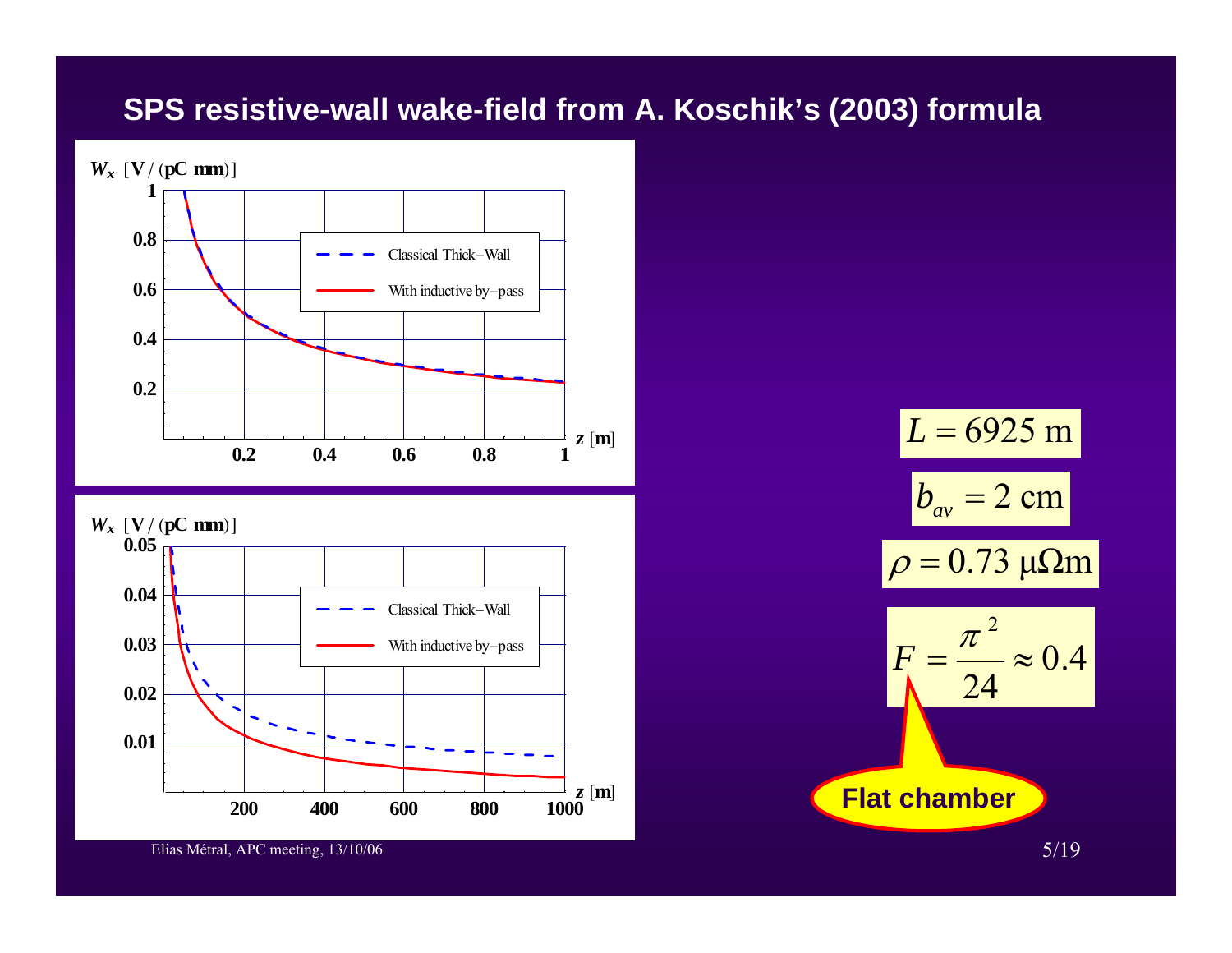### **SPS resistive-wall wake-field from A. Koschik's (2003) formula**





 $b_{\scriptscriptstyle av}^{} = 2~\text{cm}$  $ρ = 0.73 μΩm$  $L = 6925 \text{ m}$  $\frac{1}{24} \approx 0.4$ 2  $=$   $\approx$  $\pi$  $F=\frac{1}{2}$ **Flat chamber**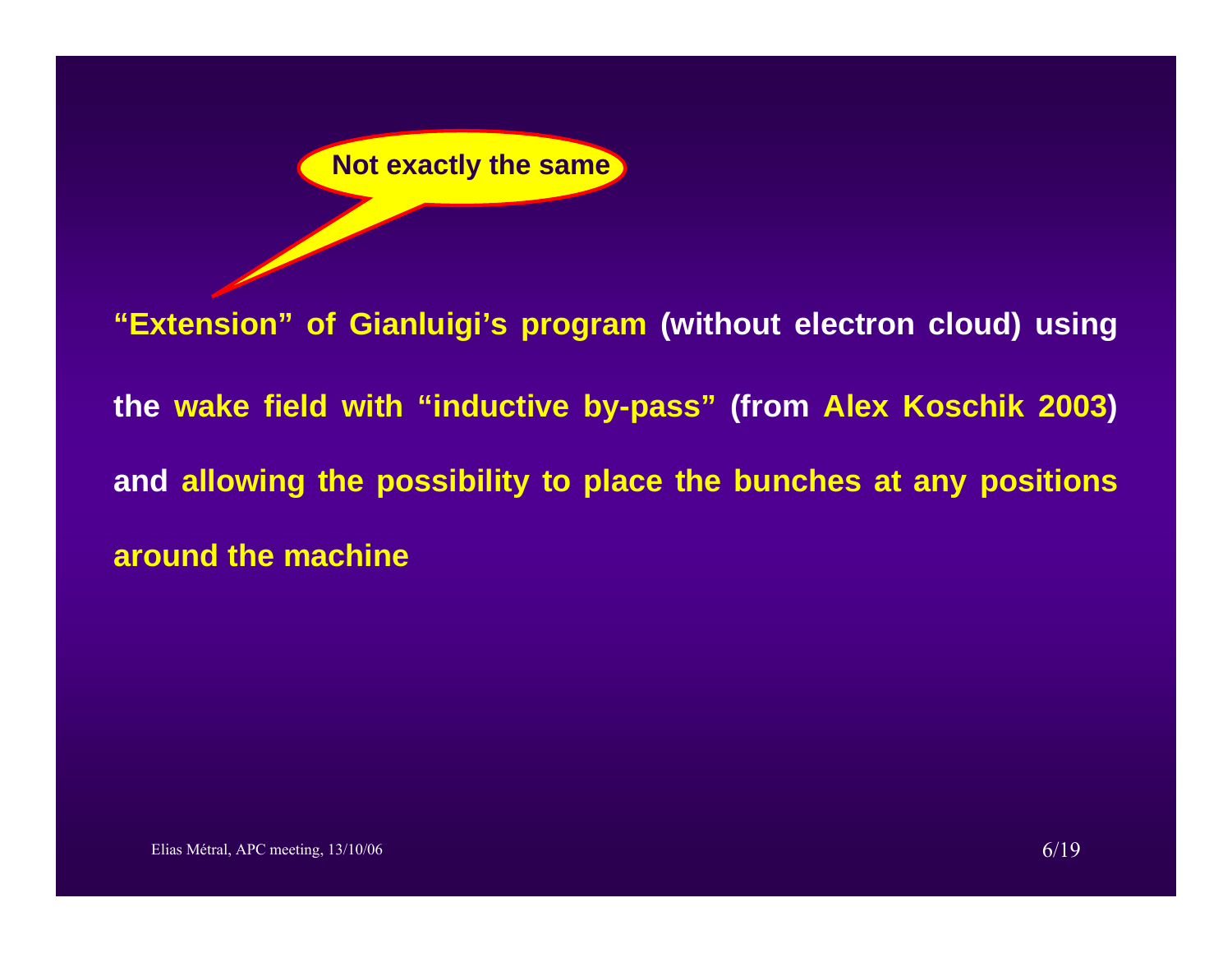

**"Extension" of Gianluigi's program (without electron cloud) using the wake field with "inductive by-pass" (from Alex Koschik 2003) and allowing the possibility to place the bunches at any positions around the machine**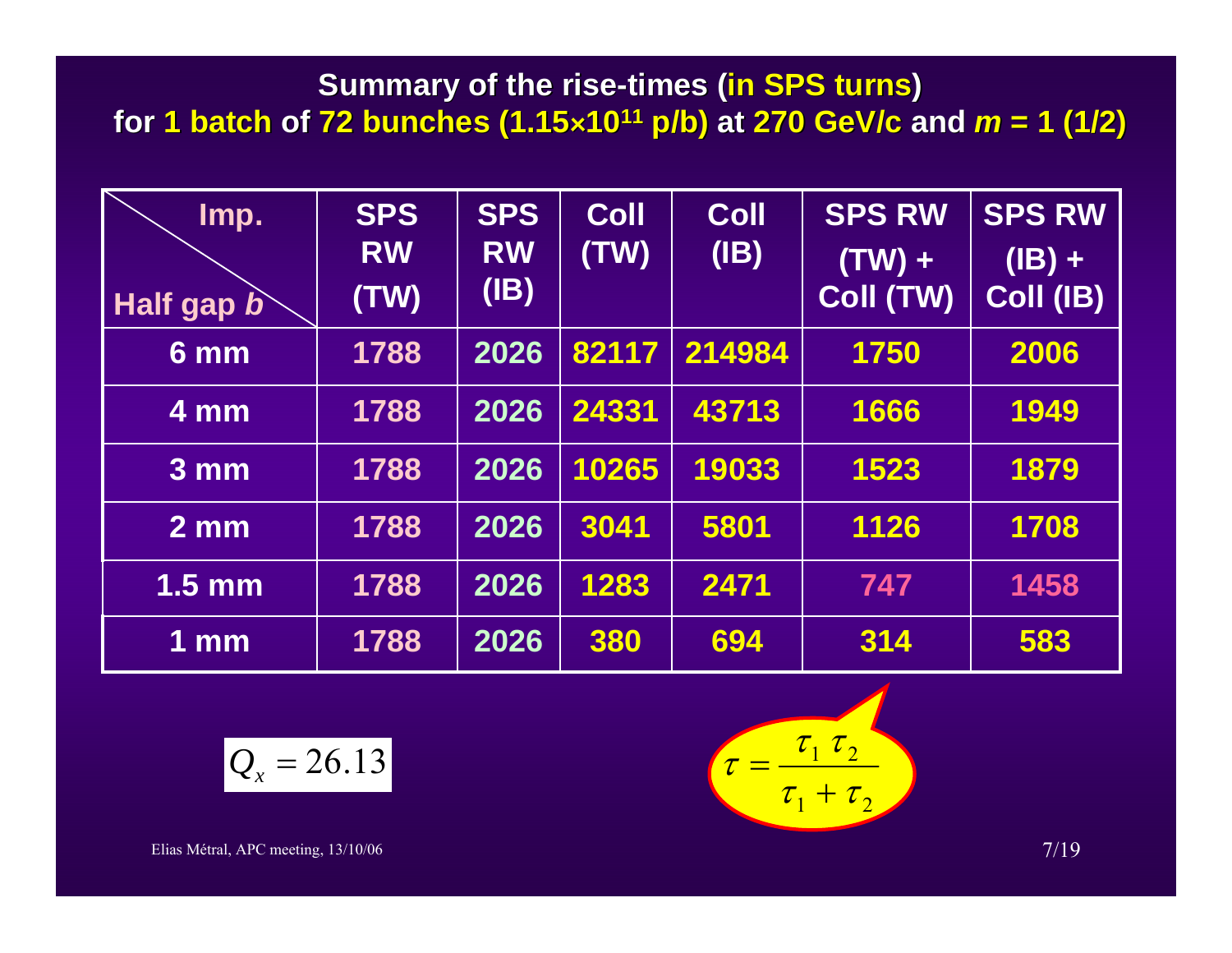**Summary of the rise-times (in SPS turns) for 1 batch 1 batch of 72 bunches (1.15 72 bunches (1.15â1011 p/b) at 270 GeV/c and** *<sup>m</sup>* **= 1 (1/2) = 1 (1/2)**

| Imp.<br><b>Half gap b</b> | <b>SPS</b><br><b>RW</b><br>(TW) | <b>SPS</b><br><b>RW</b><br>(B) | <b>Coll</b><br>(TW) | <b>Coll</b><br>(B) | <b>SPS RW</b><br>$(TW) +$<br>Coll (TW) | <b>SPS RW</b><br>$(IB) +$<br>Coll (IB) |
|---------------------------|---------------------------------|--------------------------------|---------------------|--------------------|----------------------------------------|----------------------------------------|
| $6 \text{ mm}$            | 1788                            | 2026                           | 82117               | 214984             | 1750                                   | 2006                                   |
| 4 mm                      | 1788                            | 2026                           | 24331               | 43713              | 1666                                   | 1949                                   |
| 3 <sub>mm</sub>           | 1788                            | 2026                           | 10265               | 19033              | 1523                                   | 1879                                   |
| $2 \, \text{mm}$          | 1788                            | 2026                           | 3041                | 5801               | 1126                                   | 1708                                   |
| $1.5 \text{ mm}$          | 1788                            | 2026                           | 1283                | 2471               | 747                                    | 1458                                   |
| $1$ mm                    | 1788                            | 2026                           | 380                 | 694                | 314                                    | 583                                    |

$$
Q_x = 26.13 \qquad \qquad \tau =
$$

$$
\tau = \frac{\tau_1 \tau_2}{\tau_1 + \tau_2}
$$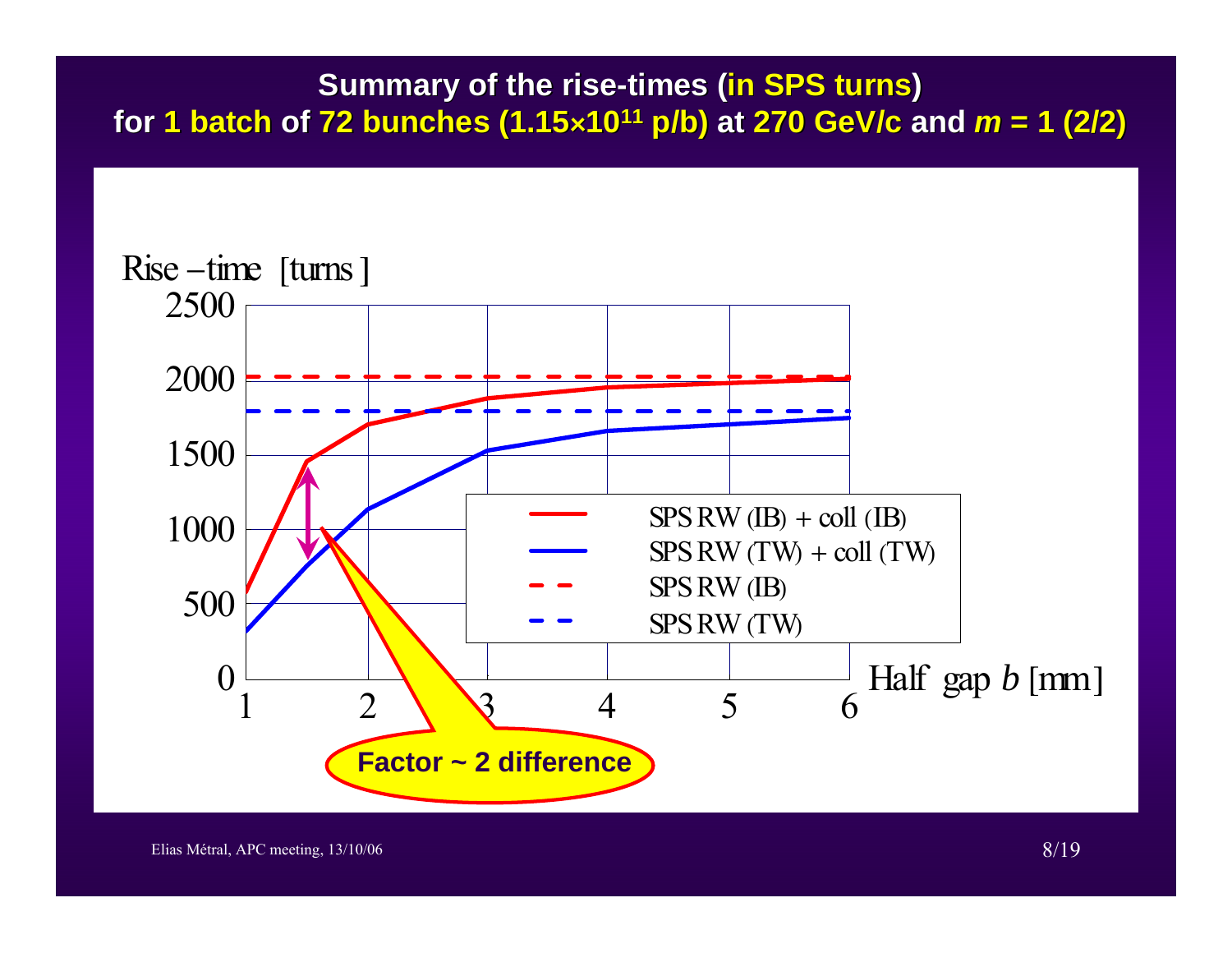### **Summary of the rise-times (in SPS turns) for 1 batch 1 batch of 72 bunches (1.15 72 bunches (1.15â1011 p/b) at 270 GeV/c and** *<sup>m</sup>* **= 1 (2/2) = 1 (2/2)**

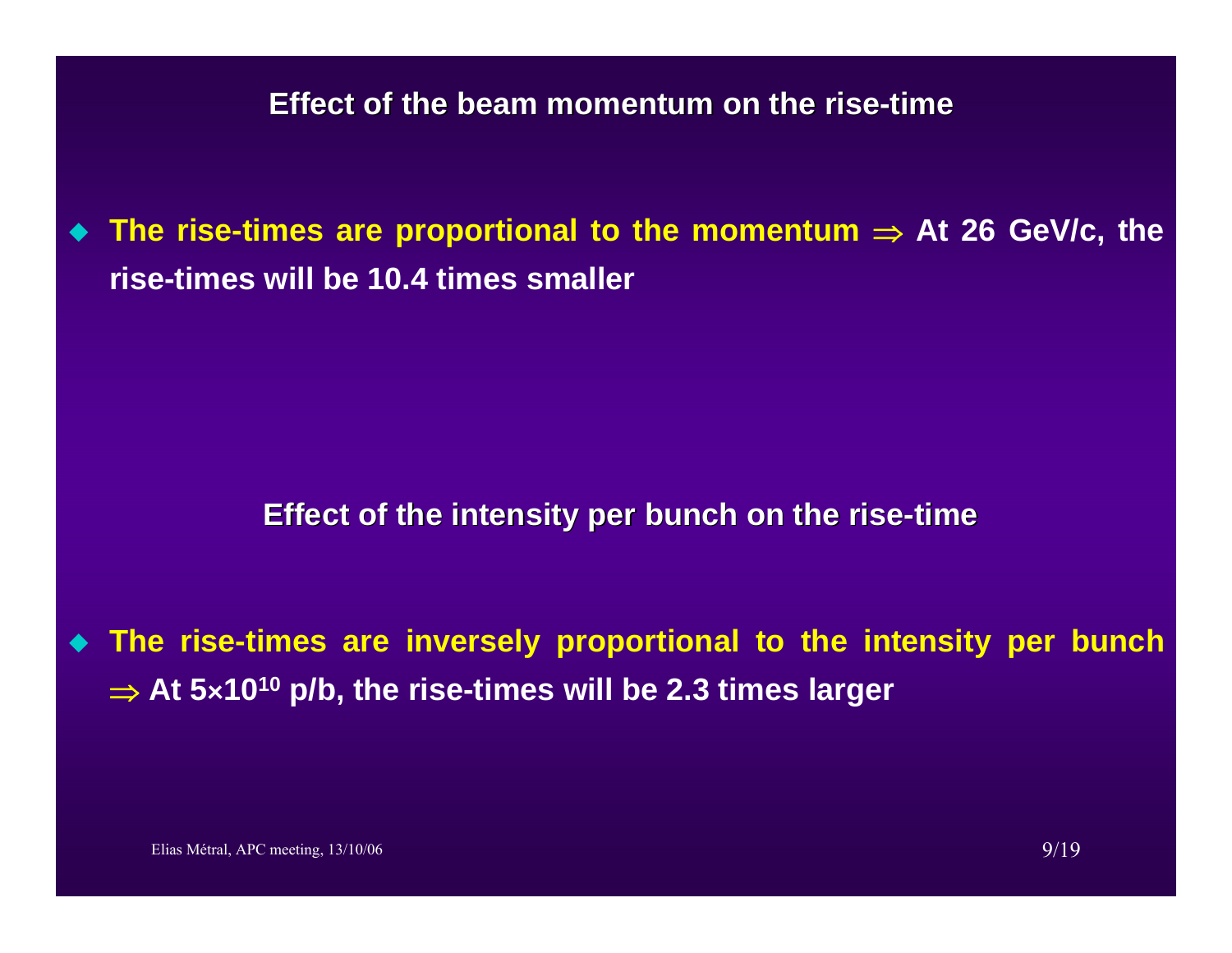**The rise-times are proportional to the momentum** <sup>⇒</sup> **At 26 GeV/c, the rise-times will be 10.4 times smaller**

#### **Effect of the intensity per bunch on the rise-time**

 **The rise-times are inversely proportional to the intensity per bunch**  ⇒ **At 5â1010 p/b, the rise-times will be 2.3 times larger**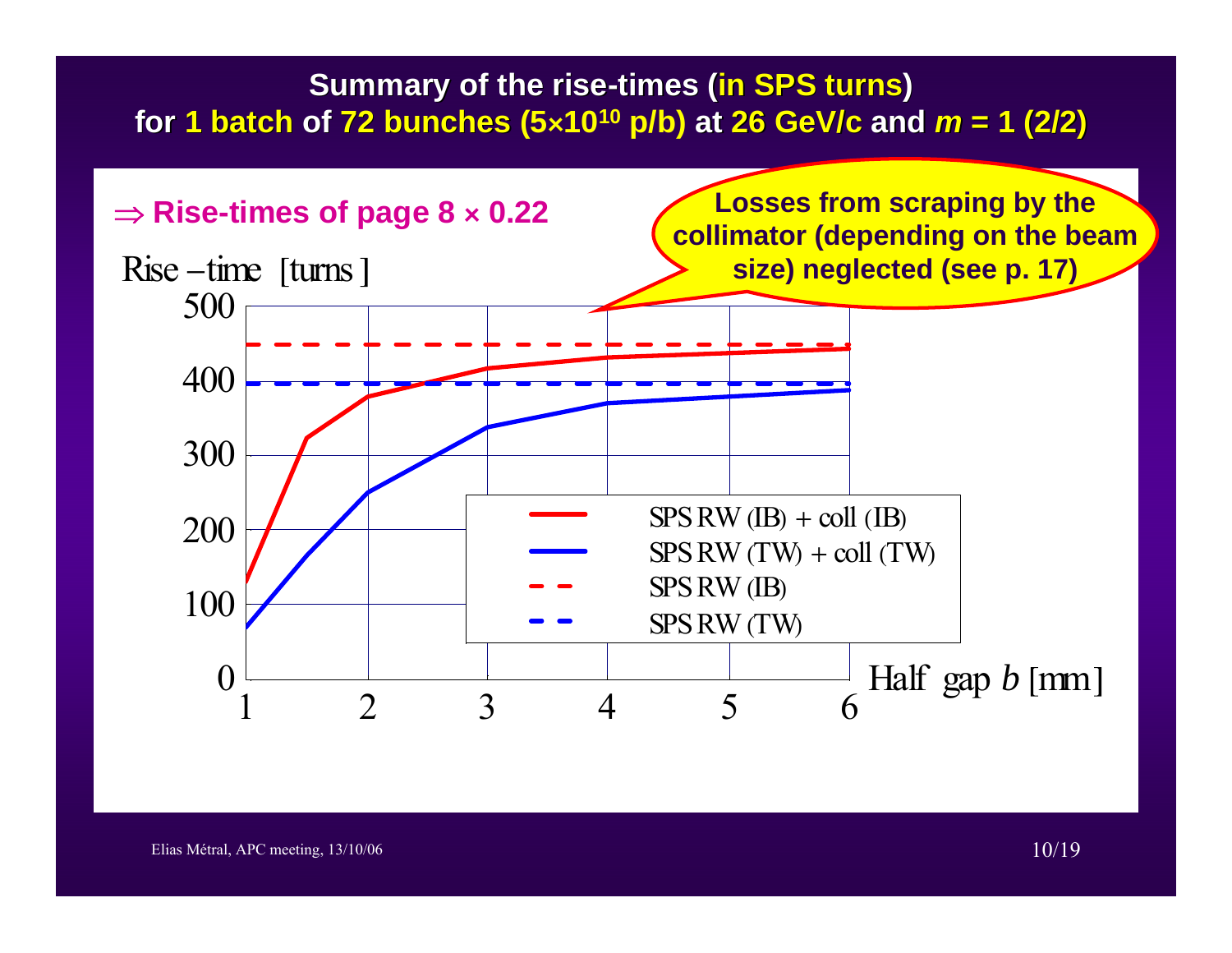## **Summary of the rise-times (in SPS turns) for 1 batch 1 batch of 72 bunches (5 72 bunches <sup>â</sup>1010 p/b) at 26 GeV/c and** *<sup>m</sup>* **= 1 (2/2) = 1 (2/2)**

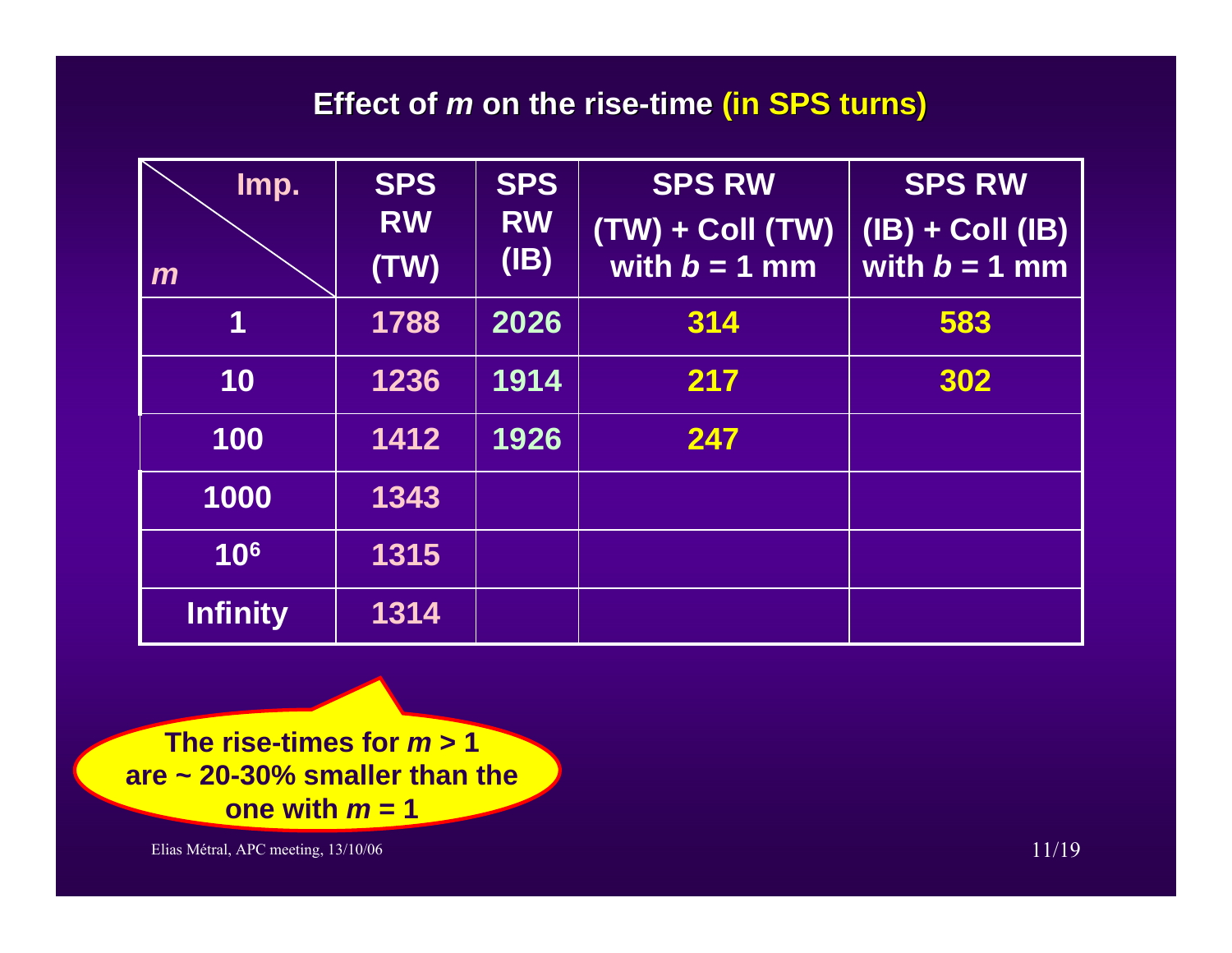### **Effect of Effect of** *m* **on the rise on the rise-time (in SPS turns) (in SPS turns)**

| Imp.<br>$\mathbf{m}$ | <b>SPS</b><br><b>RW</b><br>(TW) | <b>SPS</b><br><b>RW</b><br>(IB) | <b>SPS RW</b><br>$(TW) + Coll (TW)$<br>with $b = 1$ mm | <b>SPS RW</b><br>$(IB) + Coll (IB)$<br>with $b = 1$ mm |
|----------------------|---------------------------------|---------------------------------|--------------------------------------------------------|--------------------------------------------------------|
| 1                    | 1788                            | 2026                            | 314                                                    | 583                                                    |
| 10                   | 1236                            | 1914                            | 217                                                    | 302                                                    |
| 100                  | 1412                            | 1926                            | 247                                                    |                                                        |
| 1000                 | 1343                            |                                 |                                                        |                                                        |
| 10 <sup>6</sup>      | 1315                            |                                 |                                                        |                                                        |
| <b>Infinity</b>      | 1314                            |                                 |                                                        |                                                        |

**The rise-times for** *m* **> 1 are ~ 20-30% smaller than the one with** *m* **= 1**

Elias Métral, APC meeting, 13/10/06 11/19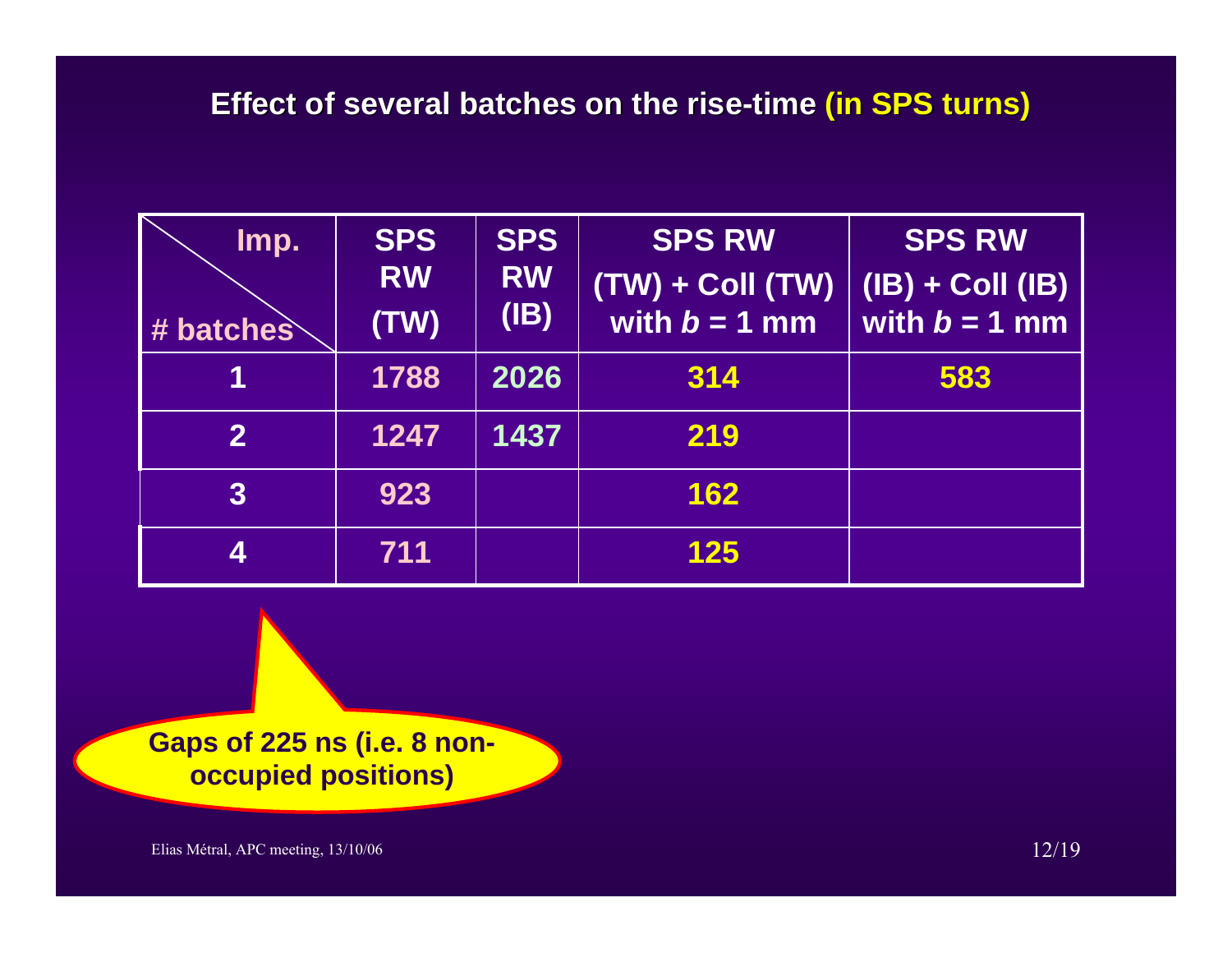| Imp.<br># batches | <b>SPS</b><br><b>RW</b><br>(TW) | <b>SPS</b><br><b>RW</b><br>(IB) | <b>SPS RW</b><br>$(TW) + Coll(TW)$<br>with $b = 1$ mm | <b>SPS RW</b><br>$(IB) + Coll (IB)$<br>with $b = 1$ mm |
|-------------------|---------------------------------|---------------------------------|-------------------------------------------------------|--------------------------------------------------------|
|                   | 1788                            | 2026                            | 314                                                   | 583                                                    |
| $\mathbf{2}$      | 1247                            | 1437                            | 219                                                   |                                                        |
| $\overline{3}$    | 923                             |                                 | 162                                                   |                                                        |
| 4                 | 711                             |                                 | 125                                                   |                                                        |

**Gaps of 225 ns (i.e. 8 nonoccupied positions)**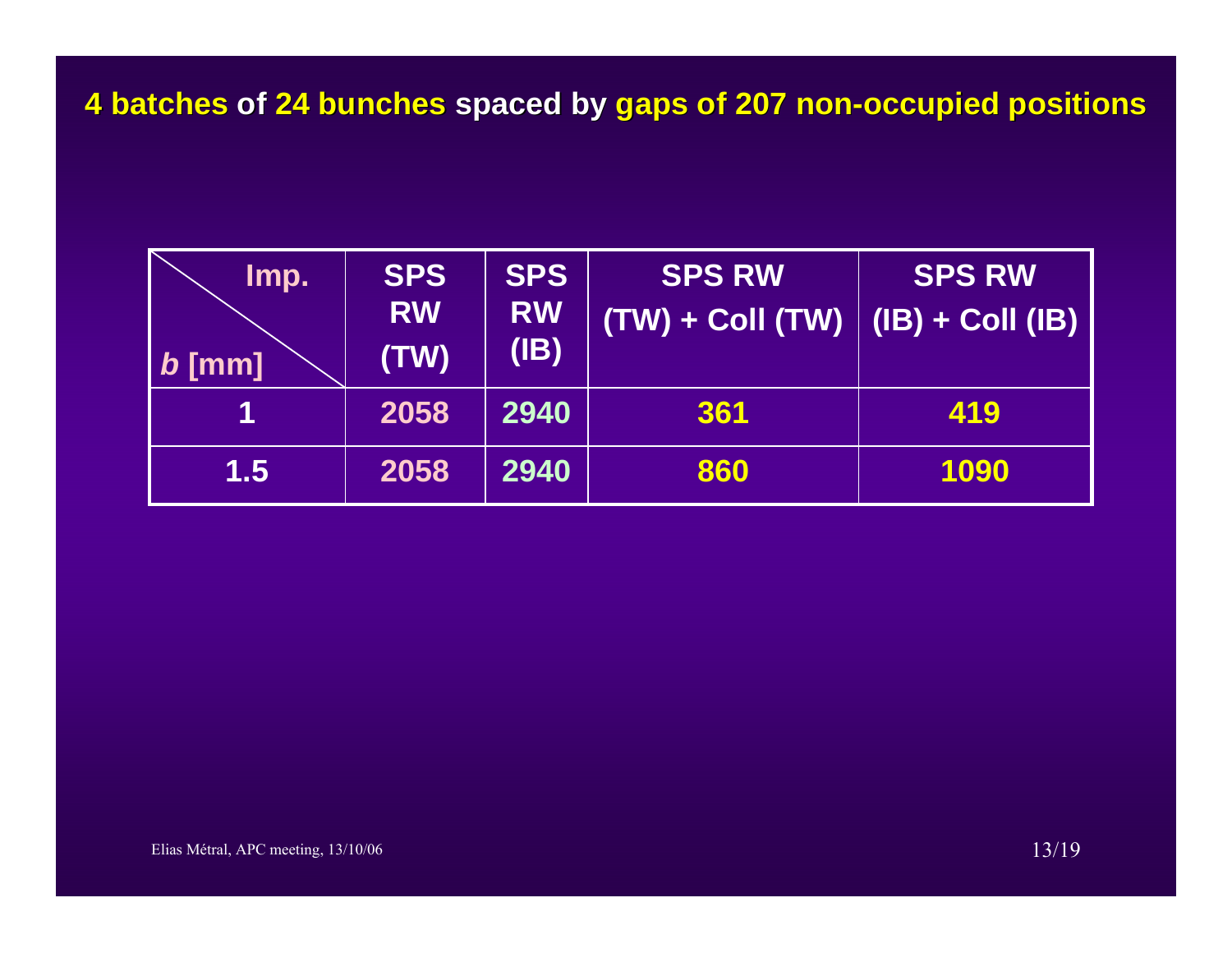| Imp.<br>$b$ [mm] | <b>SPS</b><br><b>RW</b><br>(TW) | <b>SPS</b><br><b>RW</b><br>(IB) | <b>SPS RW</b><br>$(TW) + ColI(TW)$ | <b>SPS RW</b><br>$\vert$ (IB) + Coll (IB) |
|------------------|---------------------------------|---------------------------------|------------------------------------|-------------------------------------------|
|                  | 2058                            | 2940                            | 361                                | 419                                       |
| 1.5              | 2058                            | 2940                            | 860                                | 1090                                      |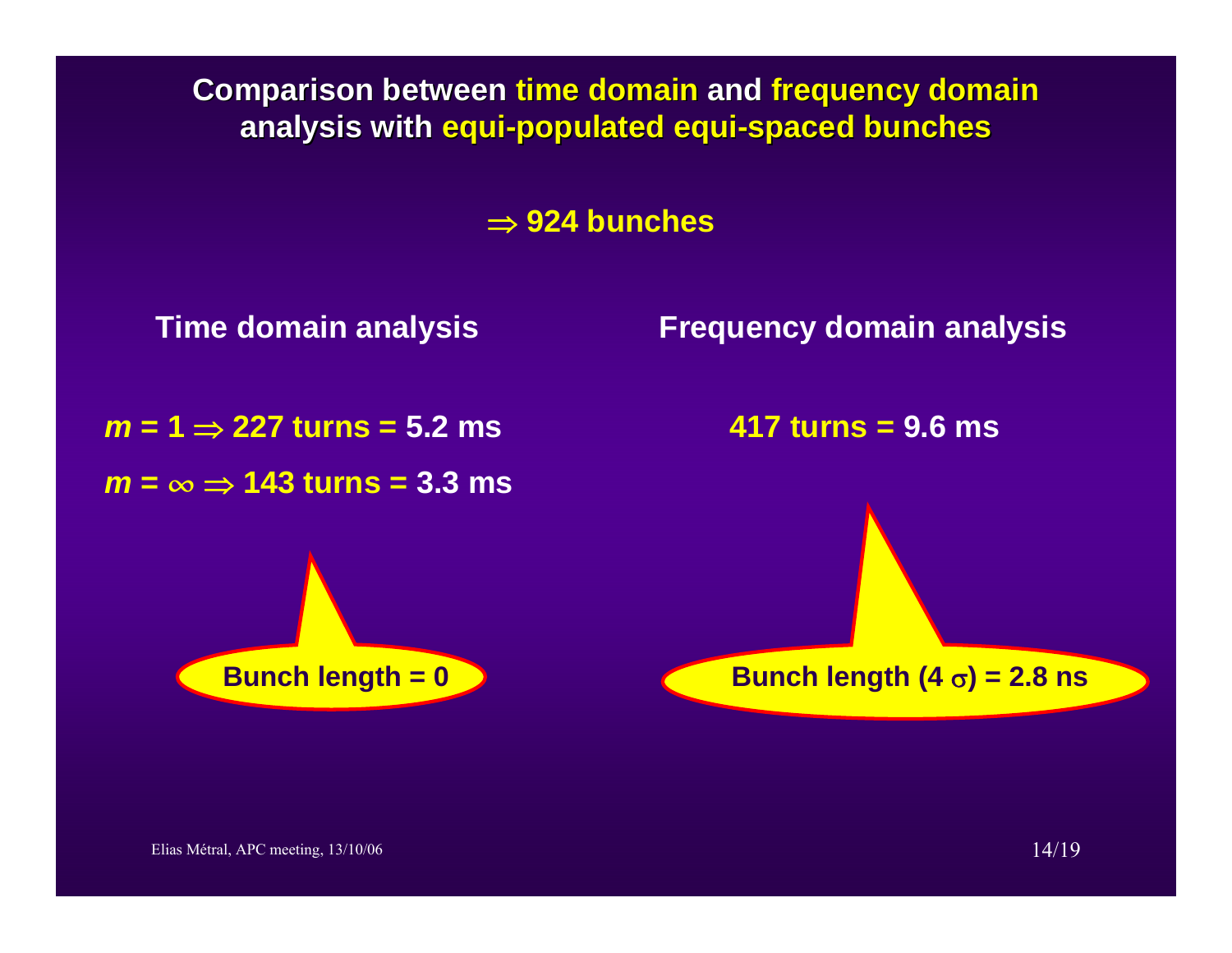**Comparison between time domain and frequency domain analysis with analysis with equi-populated populated equi-spaced bunches bunches**

⇒ **924 bunches**

*m* **= 1** <sup>⇒</sup> **227 turns = 5.2 ms**

*m* **= •** ⇒ **143 turns = 3.3 ms**

**Time domain analysis Frequency domain analysis**

**417 turns = 9.6 ms**

**Bunch length = 0 b Bunch length (4**  $\sigma$ ) = 2.8 ns

Elias Métral, APC meeting,  $13/10/06$  14/19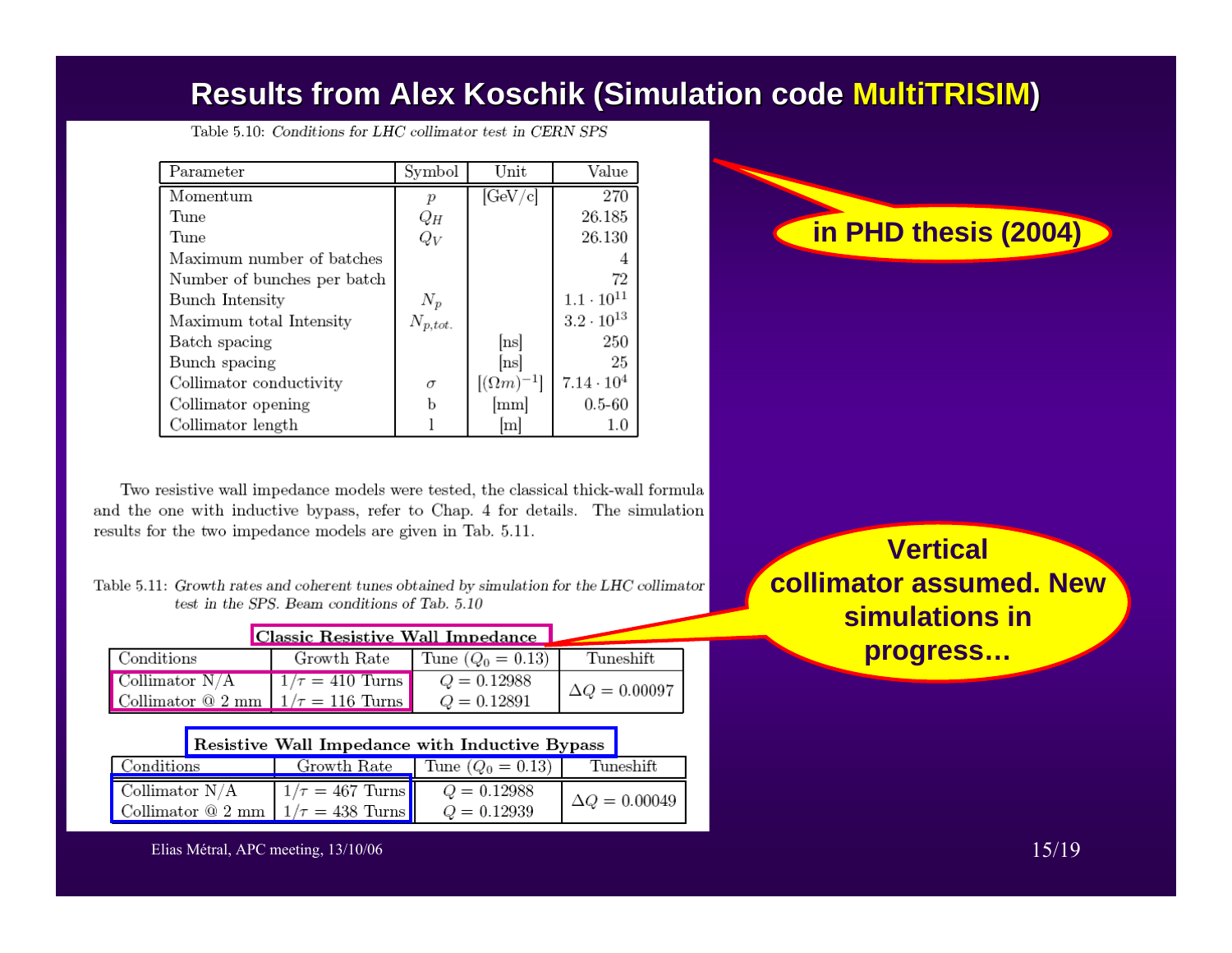# **Results from Alex Results from Alex Koschik Koschik (Simulation code (Simulation code MultiTRISIM MultiTRISIM)**

| Parameter                   | Symbol       | Unit                | Value               |
|-----------------------------|--------------|---------------------|---------------------|
| Momentum                    |              | $[\rm{GeV/c}]$      | 270                 |
| Tune                        | $Q_H$        |                     | 26.185              |
| Tune                        | $Q_V$        |                     | 26.130              |
| Maximum number of batches   |              |                     |                     |
| Number of bunches per batch |              |                     | 72                  |
| Bunch Intensity             | $N_p$        |                     | $1.1 \cdot 10^{11}$ |
| Maximum total Intensity     | $N_{p,tot.}$ |                     | $3.2 \cdot 10^{13}$ |
| Batch spacing               |              | [ns]                | 250                 |
| Bunch spacing               |              | [ns]                | 25                  |
| Collimator conductivity     | σ            | $[(\Omega m)^{-1}]$ | $7.14 \cdot 10^{4}$ |
| Collimator opening          | Ь            | mm                  | $0.5 - 60$          |
| Collimator length           |              | m                   | 1.0                 |

Table 5.10: Conditions for LHC collimator test in CERN SPS

Two resistive wall impedance models were tested, the classical thick-wall formula and the one with inductive bypass, refer to Chap. 4 for details. The simulation results for the two impedance models are given in Tab. 5.11.

| Table 5.11: Growth rates and coherent tunes obtained by simulation for the LHC collimator |
|-------------------------------------------------------------------------------------------|
| test in the SPS. Beam conditions of Tab. 5.10                                             |

| Classic Resistive Wall Impedance                |                      |                     |                      |  |  |  |
|-------------------------------------------------|----------------------|---------------------|----------------------|--|--|--|
| Conditions                                      | Growth Rate          | Tune $(Q_0 = 0.13)$ | Tuneshift            |  |  |  |
| Collimator $N/A$                                | $1/\tau = 410$ Turns | $Q = 0.12988$       | $\Delta Q = 0.00097$ |  |  |  |
| Collimator $\Omega$ 2 mm   $1/\tau = 116$ Turns |                      | $Q = 0.12891$       |                      |  |  |  |

|                  | Resistive Wall Impedance with Inductive Bypass |                                               |               |           |                      |  |  |
|------------------|------------------------------------------------|-----------------------------------------------|---------------|-----------|----------------------|--|--|
| Conditions       |                                                | Growth Rate Tune $(Q_0 = 0.13)$               |               | Tuneshift |                      |  |  |
| Collimator $N/A$ |                                                | $1/\tau = 467$ Turns                          | $Q = 0.12988$ |           | $\Delta Q = 0.00049$ |  |  |
|                  |                                                | Collimator $\Omega$ 2 mm $1/\tau = 438$ Turns | $Q = 0.12939$ |           |                      |  |  |

**in PHD thesis (2004)**

**Vertical collimator assumed. New simulations in progress…**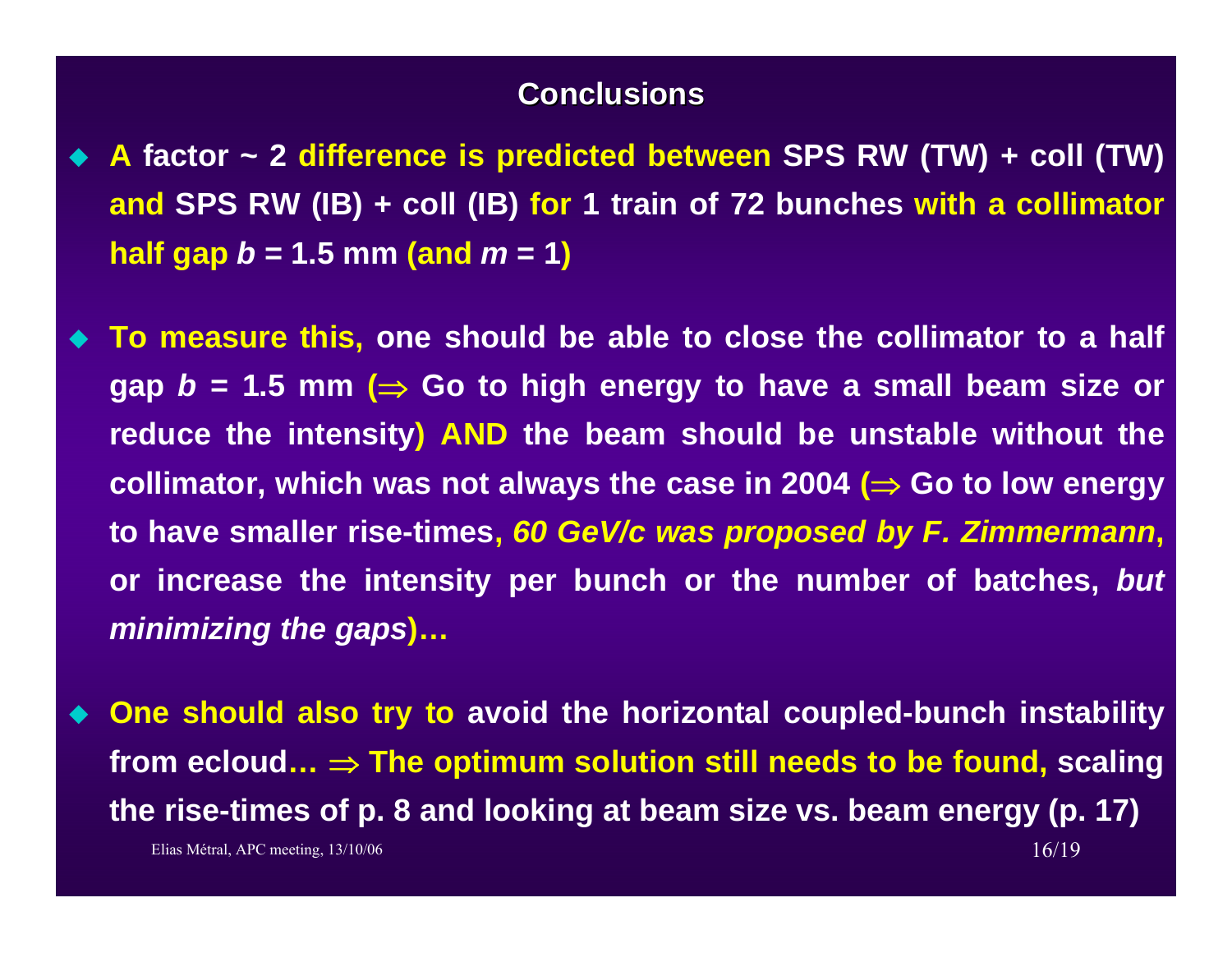#### **Conclusions Conclusions**

- **A factor ~ 2 difference is predicted between SPS RW (TW) + coll (TW) and SPS RW (IB) + coll (IB) for 1 train of 72 bunches with a collimator half gap** *b* **= 1.5 mm (and** *<sup>m</sup>* **= 1)**
- ♦ **To measure this, one should be able to close the collimator to a half gap**  $b = 1.5$  **mm (** $\Rightarrow$  **Go to high energy to have a small beam size or reduce the intensity) AND the beam should be unstable without the collimator, which was not always the case in 2004 (**<sup>⇒</sup> **Go to low energy to have smaller rise-times,** *60 GeV/c was proposed by F. Zimmermann***, or increase the intensity per bunch or the number of batches,** *but minimizing the gaps***)…**
- Elias Métral, APC meeting,  $13/10/06$  16/19 ♦ **One should also try to avoid the horizontal coupled-bunch instability from ecloud…** <sup>⇒</sup> **The optimum solution still needs to be found, scaling the rise-times of p. 8 and looking at beam size vs. beam energy (p. 17)**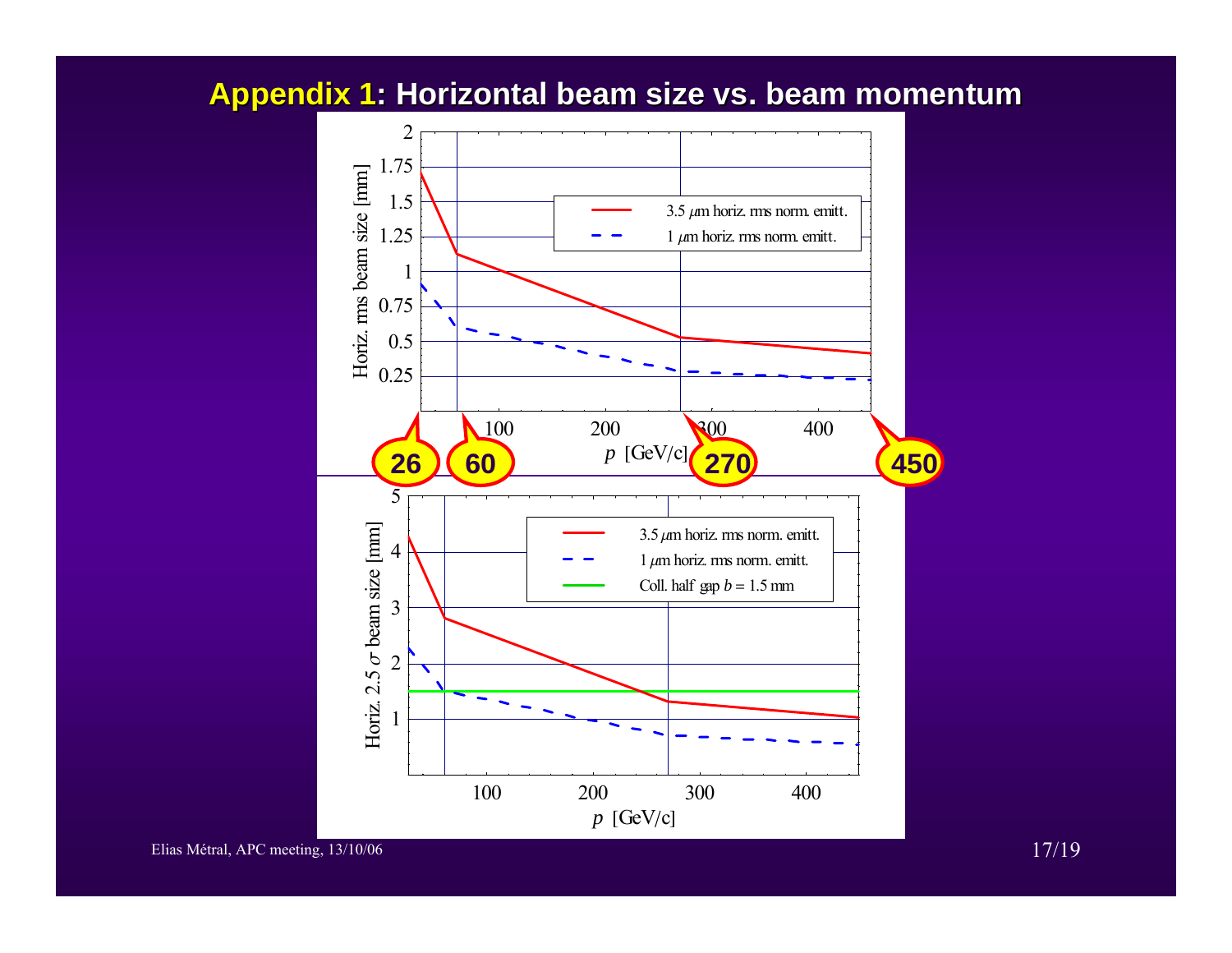### **Appendix 1 Appendix 1: Horizontal beam size vs. beam momentum**

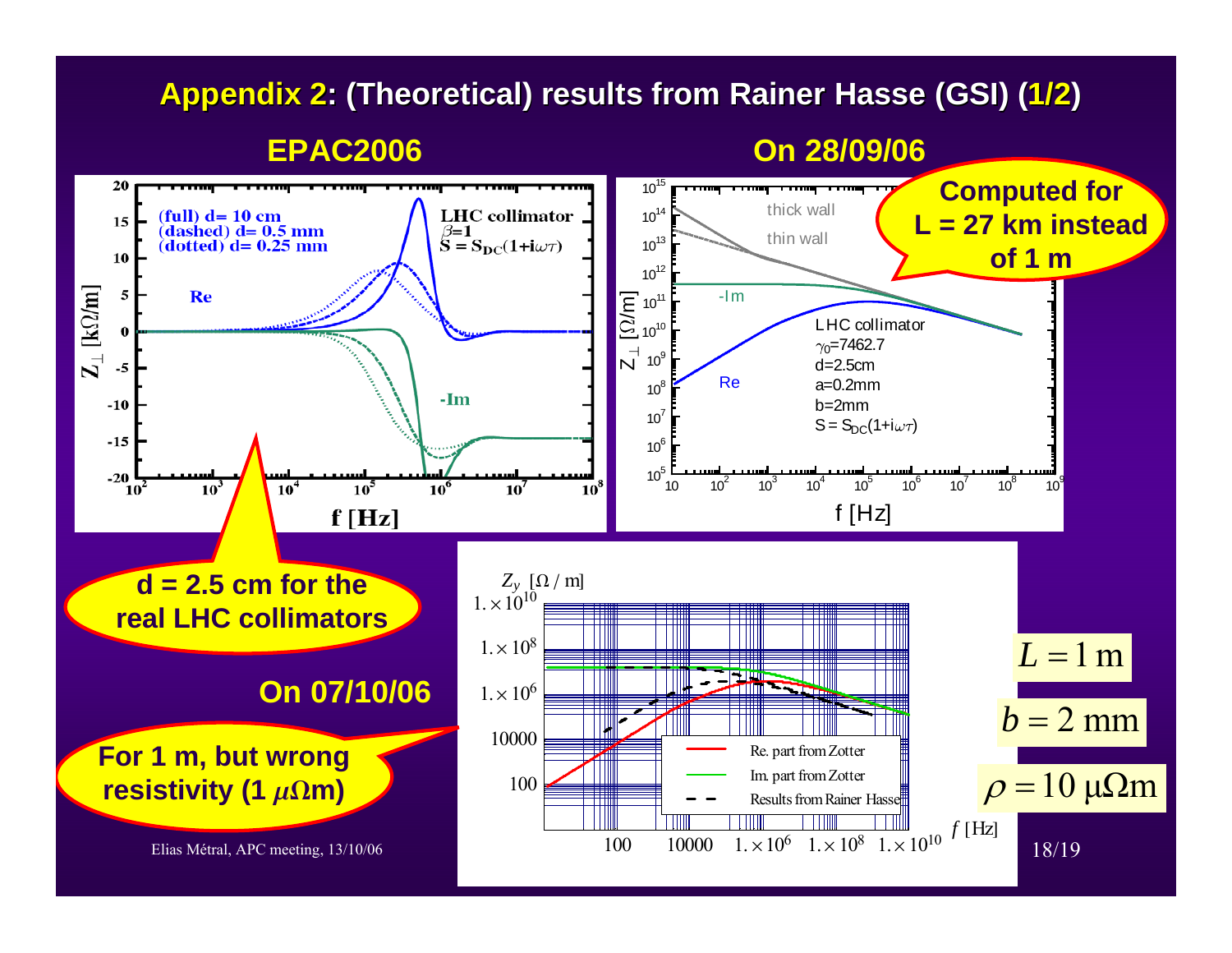# **Appendix 2: (Theoretical) results from Rainer Hasse (GSI) (1/2)**

**On 28/09/06**

#### **EPAC2006**